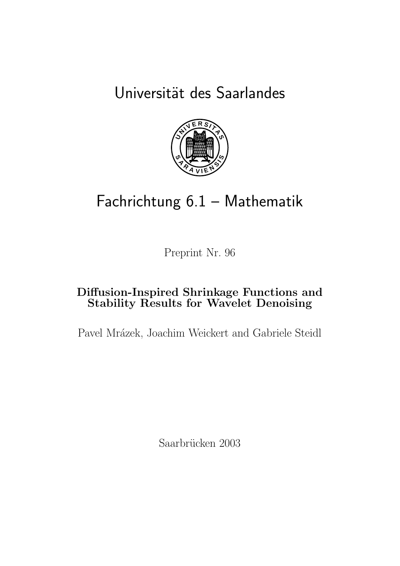Universität des Saarlandes



# Fachrichtung 6.1 – Mathematik

Preprint Nr. 96

# Diffusion-Inspired Shrinkage Functions and Stability Results for Wavelet Denoising

Pavel Mrázek, Joachim Weickert and Gabriele Steidl

Saarbrücken 2003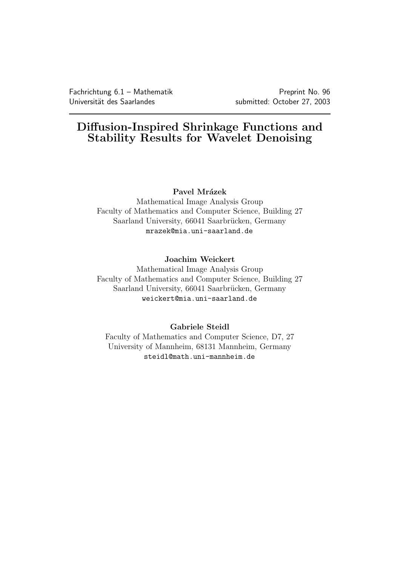# Diffusion-Inspired Shrinkage Functions and Stability Results for Wavelet Denoising

#### Pavel Mrázek

Mathematical Image Analysis Group Faculty of Mathematics and Computer Science, Building 27 Saarland University, 66041 Saarbrücken, Germany mrazek@mia.uni-saarland.de

#### Joachim Weickert

Mathematical Image Analysis Group Faculty of Mathematics and Computer Science, Building 27 Saarland University, 66041 Saarbrücken, Germany weickert@mia.uni-saarland.de

#### Gabriele Steidl

Faculty of Mathematics and Computer Science, D7, 27 University of Mannheim, 68131 Mannheim, Germany steidl@math.uni-mannheim.de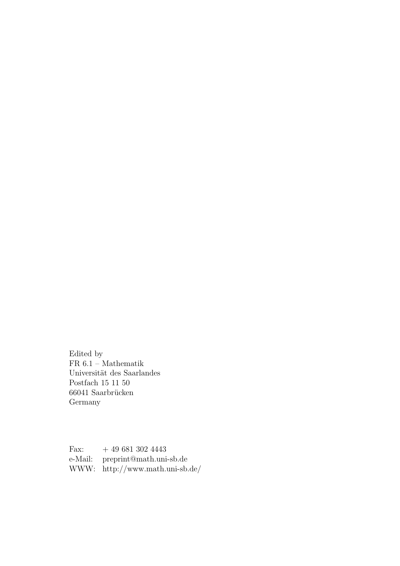Edited by FR  $6.1$  – Mathematik Universität des Saarlandes Postfach 15 11 50 66041 Saarbrücken Germany

Fax:  $+ 496813024443$ e-Mail: preprint@math.uni-sb.de WWW: http://www.math.uni-sb.de/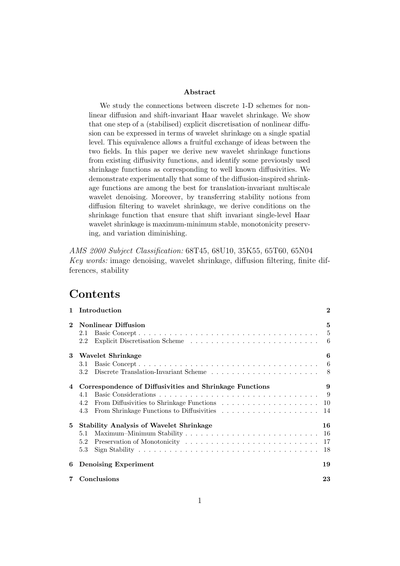#### Abstract

We study the connections between discrete 1-D schemes for nonlinear diffusion and shift-invariant Haar wavelet shrinkage. We show that one step of a (stabilised) explicit discretisation of nonlinear diffusion can be expressed in terms of wavelet shrinkage on a single spatial level. This equivalence allows a fruitful exchange of ideas between the two fields. In this paper we derive new wavelet shrinkage functions from existing diffusivity functions, and identify some previously used shrinkage functions as corresponding to well known diffusivities. We demonstrate experimentally that some of the diffusion-inspired shrinkage functions are among the best for translation-invariant multiscale wavelet denoising. Moreover, by transferring stability notions from diffusion filtering to wavelet shrinkage, we derive conditions on the shrinkage function that ensure that shift invariant single-level Haar wavelet shrinkage is maximum-minimum stable, monotonicity preserving, and variation diminishing.

AMS 2000 Subject Classification: 68T45, 68U10, 35K55, 65T60, 65N04 Key words: image denoising, wavelet shrinkage, diffusion filtering, finite differences, stability

### Contents

| $\mathbf{1}$ | Introduction                                                                 | $\bf{2}$              |  |  |  |  |
|--------------|------------------------------------------------------------------------------|-----------------------|--|--|--|--|
| $\mathbf 2$  | <b>Nonlinear Diffusion</b><br>2.1<br>2.2                                     | 5<br>-5<br>6          |  |  |  |  |
| 3            | Wavelet Shrinkage<br>3.1<br>3.2                                              | 6<br>-6<br>- 8        |  |  |  |  |
| 4            | Correspondence of Diffusivities and Shrinkage Functions<br>4.1<br>4.2<br>4.3 | 9<br>- 9<br>10<br>14  |  |  |  |  |
| 5            | <b>Stability Analysis of Wavelet Shrinkage</b><br>5.1<br>5.2<br>5.3          | 16<br>-16<br>17<br>18 |  |  |  |  |
| 6            | <b>Denoising Experiment</b>                                                  |                       |  |  |  |  |
| 7            | Conclusions                                                                  |                       |  |  |  |  |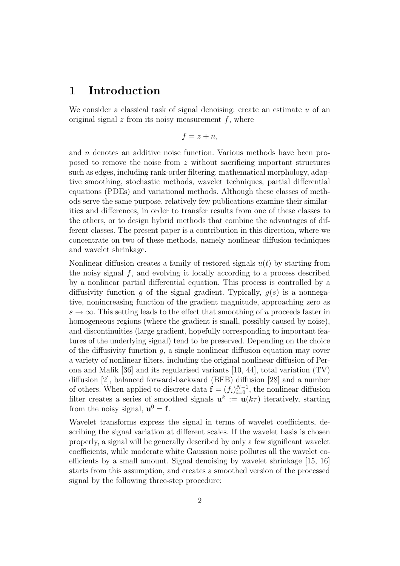### 1 Introduction

We consider a classical task of signal denoising: create an estimate  $u$  of an original signal  $z$  from its noisy measurement  $f$ , where

$$
f=z+n,
$$

and n denotes an additive noise function. Various methods have been proposed to remove the noise from z without sacrificing important structures such as edges, including rank-order filtering, mathematical morphology, adaptive smoothing, stochastic methods, wavelet techniques, partial differential equations (PDEs) and variational methods. Although these classes of methods serve the same purpose, relatively few publications examine their similarities and differences, in order to transfer results from one of these classes to the others, or to design hybrid methods that combine the advantages of different classes. The present paper is a contribution in this direction, where we concentrate on two of these methods, namely nonlinear diffusion techniques and wavelet shrinkage.

Nonlinear diffusion creates a family of restored signals  $u(t)$  by starting from the noisy signal  $f$ , and evolving it locally according to a process described by a nonlinear partial differential equation. This process is controlled by a diffusivity function q of the signal gradient. Typically,  $q(s)$  is a nonnegative, nonincreasing function of the gradient magnitude, approaching zero as  $s \to \infty$ . This setting leads to the effect that smoothing of u proceeds faster in homogeneous regions (where the gradient is small, possibly caused by noise), and discontinuities (large gradient, hopefully corresponding to important features of the underlying signal) tend to be preserved. Depending on the choice of the diffusivity function  $g$ , a single nonlinear diffusion equation may cover a variety of nonlinear filters, including the original nonlinear diffusion of Perona and Malik [36] and its regularised variants [10, 44], total variation (TV) diffusion [2], balanced forward-backward (BFB) diffusion [28] and a number of others. When applied to discrete data  $\mathbf{f} = (f_i)_{i=0}^{N-1}$ , the nonlinear diffusion filter creates a series of smoothed signals  $\mathbf{u}^k := \mathbf{u}(k\tau)$  iteratively, starting from the noisy signal,  $\mathbf{u}^0 = \mathbf{f}$ .

Wavelet transforms express the signal in terms of wavelet coefficients, describing the signal variation at different scales. If the wavelet basis is chosen properly, a signal will be generally described by only a few significant wavelet coefficients, while moderate white Gaussian noise pollutes all the wavelet coefficients by a small amount. Signal denoising by wavelet shrinkage [15, 16] starts from this assumption, and creates a smoothed version of the processed signal by the following three-step procedure: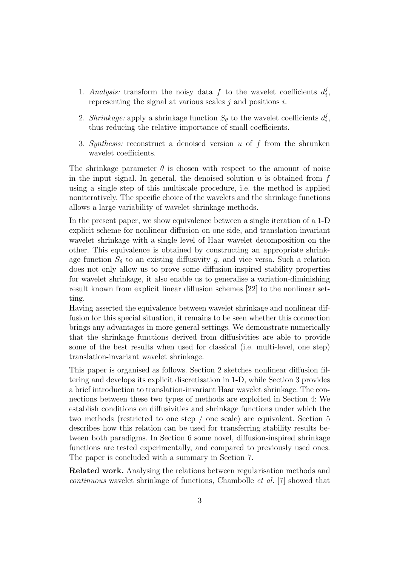- 1. Analysis: transform the noisy data f to the wavelet coefficients  $d_i^j$  $_{i}^{\jmath},$ representing the signal at various scales  $j$  and positions  $i$ .
- 2. Shrinkage: apply a shrinkage function  $S_{\theta}$  to the wavelet coefficients  $d_i^j$  $_{i}^{\jmath},$ thus reducing the relative importance of small coefficients.
- 3. Synthesis: reconstruct a denoised version  $u$  of  $f$  from the shrunken wavelet coefficients.

The shrinkage parameter  $\theta$  is chosen with respect to the amount of noise in the input signal. In general, the denoised solution  $u$  is obtained from  $f$ using a single step of this multiscale procedure, i.e. the method is applied noniteratively. The specific choice of the wavelets and the shrinkage functions allows a large variability of wavelet shrinkage methods.

In the present paper, we show equivalence between a single iteration of a 1-D explicit scheme for nonlinear diffusion on one side, and translation-invariant wavelet shrinkage with a single level of Haar wavelet decomposition on the other. This equivalence is obtained by constructing an appropriate shrinkage function  $S_{\theta}$  to an existing diffusivity g, and vice versa. Such a relation does not only allow us to prove some diffusion-inspired stability properties for wavelet shrinkage, it also enable us to generalise a variation-diminishing result known from explicit linear diffusion schemes [22] to the nonlinear setting.

Having asserted the equivalence between wavelet shrinkage and nonlinear diffusion for this special situation, it remains to be seen whether this connection brings any advantages in more general settings. We demonstrate numerically that the shrinkage functions derived from diffusivities are able to provide some of the best results when used for classical (i.e. multi-level, one step) translation-invariant wavelet shrinkage.

This paper is organised as follows. Section 2 sketches nonlinear diffusion filtering and develops its explicit discretisation in 1-D, while Section 3 provides a brief introduction to translation-invariant Haar wavelet shrinkage. The connections between these two types of methods are exploited in Section 4: We establish conditions on diffusivities and shrinkage functions under which the two methods (restricted to one step / one scale) are equivalent. Section 5 describes how this relation can be used for transferring stability results between both paradigms. In Section 6 some novel, diffusion-inspired shrinkage functions are tested experimentally, and compared to previously used ones. The paper is concluded with a summary in Section 7.

Related work. Analysing the relations between regularisation methods and continuous wavelet shrinkage of functions, Chambolle et al. [7] showed that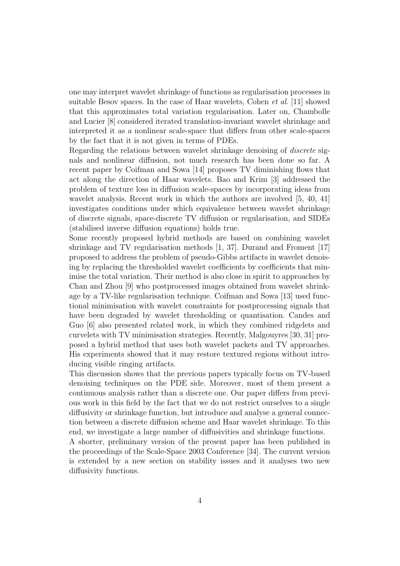one may interpret wavelet shrinkage of functions as regularisation processes in suitable Besov spaces. In the case of Haar wavelets, Cohen et al. [11] showed that this approximates total variation regularisation. Later on, Chambolle and Lucier [8] considered iterated translation-invariant wavelet shrinkage and interpreted it as a nonlinear scale-space that differs from other scale-spaces by the fact that it is not given in terms of PDEs.

Regarding the relations between wavelet shrinkage denoising of discrete signals and nonlinear diffusion, not much research has been done so far. A recent paper by Coifman and Sowa [14] proposes TV diminishing flows that act along the direction of Haar wavelets. Bao and Krim [3] addressed the problem of texture loss in diffusion scale-spaces by incorporating ideas from wavelet analysis. Recent work in which the authors are involved [5, 40, 41] investigates conditions under which equivalence between wavelet shrinkage of discrete signals, space-discrete TV diffusion or regularisation, and SIDEs (stabilised inverse diffusion equations) holds true.

Some recently proposed hybrid methods are based on combining wavelet shrinkage and TV regularisation methods [1, 37]. Durand and Froment [17] proposed to address the problem of pseudo-Gibbs artifacts in wavelet denoising by replacing the thresholded wavelet coefficients by coefficients that minimise the total variation. Their method is also close in spirit to approaches by Chan and Zhou [9] who postprocessed images obtained from wavelet shrinkage by a TV-like regularisation technique. Coifman and Sowa [13] used functional minimisation with wavelet constraints for postprocessing signals that have been degraded by wavelet thresholding or quantisation. Candes and Guo [6] also presented related work, in which they combined ridgelets and curvelets with TV minimisation strategies. Recently, Malgouyres [30, 31] proposed a hybrid method that uses both wavelet packets and TV approaches. His experiments showed that it may restore textured regions without introducing visible ringing artifacts.

This discussion shows that the previous papers typically focus on TV-based denoising techniques on the PDE side. Moreover, most of them present a continuous analysis rather than a discrete one. Our paper differs from previous work in this field by the fact that we do not restrict ourselves to a single diffusivity or shrinkage function, but introduce and analyse a general connection between a discrete diffusion scheme and Haar wavelet shrinkage. To this end, we investigate a large number of diffusivities and shrinkage functions.

A shorter, preliminary version of the present paper has been published in the proceedings of the Scale-Space 2003 Conference [34]. The current version is extended by a new section on stability issues and it analyses two new diffusivity functions.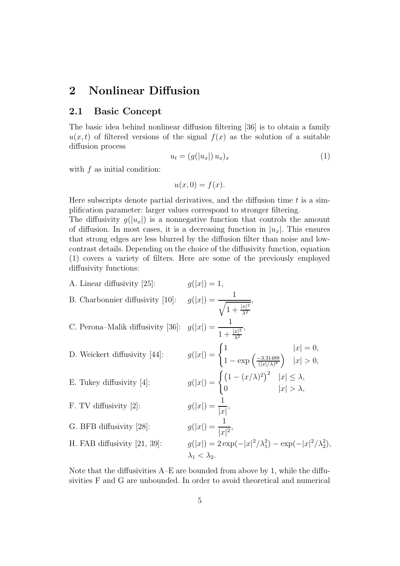# 2 Nonlinear Diffusion

#### 2.1 Basic Concept

The basic idea behind nonlinear diffusion filtering [36] is to obtain a family  $u(x,t)$  of filtered versions of the signal  $f(x)$  as the solution of a suitable diffusion process

$$
u_t = (g(|u_x|) u_x)_x \tag{1}
$$

with  $f$  as initial condition:

$$
u(x,0) = f(x).
$$

Here subscripts denote partial derivatives, and the diffusion time  $t$  is a simplification parameter: larger values correspond to stronger filtering.

The diffusivity  $q(|u_x|)$  is a nonnegative function that controls the amount of diffusion. In most cases, it is a decreasing function in  $|u_x|$ . This ensures that strong edges are less blurred by the diffusion filter than noise and lowcontrast details. Depending on the choice of the diffusivity function, equation (1) covers a variety of filters. Here are some of the previously employed diffusivity functions:

A. Linear diffusivity [25]:  
\nB. Charbonnier diffusivity [10]:  
\n
$$
g(|x|) = \frac{1}{\sqrt{1 + \frac{|x|^2}{\lambda^2}}},
$$
  
\nC. Perona–Malik diffusivity [36]:  
\n $g(|x|) = \frac{1}{1 + \frac{|x|^2}{\lambda^2}},$   
\nD. Weickert diffusivity [44]:  
\n $g(|x|) = \begin{cases} 1 & |x| = 0, \\ 1 - \exp(\frac{-3.31488}{(|x|/\lambda)^8}) & |x| > 0, \end{cases}$   
\nE. Tukey diffusivity [4]:  
\n $g(|x|) = \begin{cases} (1 - (x/\lambda)^2)^2 & |x| \le \lambda, \\ 0 & |x| > \lambda, \end{cases}$   
\nF. TV diffusivity [2]:  
\n $g(|x|) = \frac{1}{|x|},$   
\nG. BFB diffusivity [28]:  
\n $g(|x|) = \frac{1}{|x|^2},$   
\nH. FAB diffusivity [21, 39]:  
\n $g(|x|) = 2 \exp(-|x|^2/\lambda_1^2) - \exp(-|x|^2/\lambda_2^2),$   
\n $\lambda_1 < \lambda_2.$ 

Note that the diffusivities A–E are bounded from above by 1, while the diffusivities F and G are unbounded. In order to avoid theoretical and numerical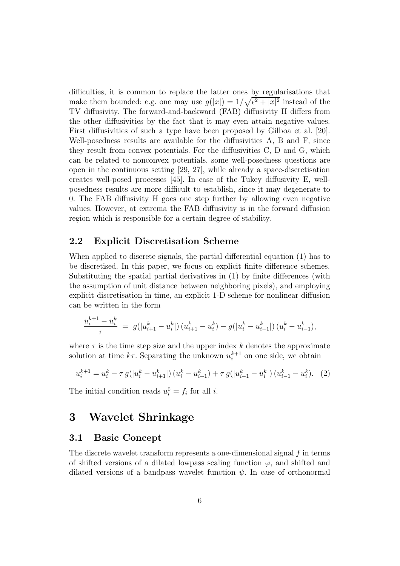difficulties, it is common to replace the latter ones by regularisations that make them bounded: e.g. one may use  $g(|x|) = 1/\sqrt{\epsilon^2 + |x|^2}$  instead of the TV diffusivity. The forward-and-backward (FAB) diffusivity H differs from the other diffusivities by the fact that it may even attain negative values. First diffusivities of such a type have been proposed by Gilboa et al. [20]. Well-posedness results are available for the diffusivities A, B and F, since they result from convex potentials. For the diffusivities C, D and G, which can be related to nonconvex potentials, some well-posedness questions are open in the continuous setting [29, 27], while already a space-discretisation creates well-posed processes [45]. In case of the Tukey diffusivity E, wellposedness results are more difficult to establish, since it may degenerate to 0. The FAB diffusivity H goes one step further by allowing even negative values. However, at extrema the FAB diffusivity is in the forward diffusion region which is responsible for a certain degree of stability.

#### 2.2 Explicit Discretisation Scheme

When applied to discrete signals, the partial differential equation (1) has to be discretised. In this paper, we focus on explicit finite difference schemes. Substituting the spatial partial derivatives in (1) by finite differences (with the assumption of unit distance between neighboring pixels), and employing explicit discretisation in time, an explicit 1-D scheme for nonlinear diffusion can be written in the form

$$
\frac{u_i^{k+1} - u_i^k}{\tau} \ = \ g(|u_{i+1}^k - u_i^k|) \left(u_{i+1}^k - u_i^k\right) - g(|u_i^k - u_{i-1}^k|) \left(u_i^k - u_{i-1}^k\right),
$$

where  $\tau$  is the time step size and the upper index k denotes the approximate solution at time  $k\tau$ . Separating the unknown  $u_i^{k+1}$  on one side, we obtain

$$
u_i^{k+1} = u_i^k - \tau g(|u_i^k - u_{i+1}^k|) (u_i^k - u_{i+1}^k) + \tau g(|u_{i-1}^k - u_i^k|) (u_{i-1}^k - u_i^k). \tag{2}
$$

The initial condition reads  $u_i^0 = f_i$  for all *i*.

### 3 Wavelet Shrinkage

#### 3.1 Basic Concept

The discrete wavelet transform represents a one-dimensional signal  $f$  in terms of shifted versions of a dilated lowpass scaling function  $\varphi$ , and shifted and dilated versions of a bandpass wavelet function  $\psi$ . In case of orthonormal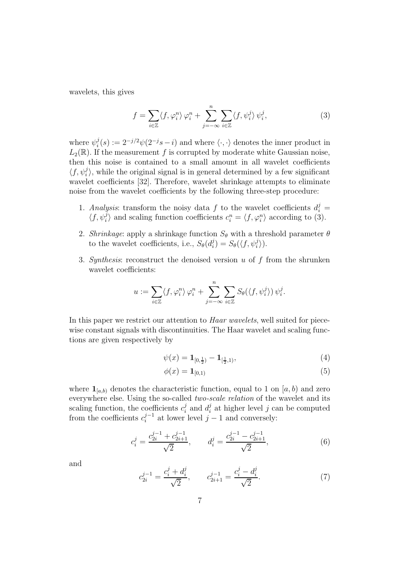wavelets, this gives

$$
f = \sum_{i \in \mathbb{Z}} \langle f, \varphi_i^n \rangle \varphi_i^n + \sum_{j = -\infty}^n \sum_{i \in \mathbb{Z}} \langle f, \psi_i^j \rangle \psi_i^j, \tag{3}
$$

where  $\psi_i^j$  $i(s) := 2^{-j/2} \psi(2^{-j} s - i)$  and where  $\langle \cdot, \cdot \rangle$  denotes the inner product in  $L_2(\mathbb{R})$ . If the measurement f is corrupted by moderate white Gaussian noise, then this noise is contained to a small amount in all wavelet coefficients  $\langle f, \psi_i^j$  $\binom{1}{i}$ , while the original signal is in general determined by a few significant wavelet coefficients [32]. Therefore, wavelet shrinkage attempts to eliminate noise from the wavelet coefficients by the following three-step procedure:

- 1. Analysis: transform the noisy data f to the wavelet coefficients  $d_i^j =$  $\langle f, \psi_i^j$  $\langle i \rangle$  and scaling function coefficients  $c_i^n = \langle f, \varphi_i^n \rangle$  according to (3).
- 2. Shrinkage: apply a shrinkage function  $S_{\theta}$  with a threshold parameter  $\theta$ to the wavelet coefficients, i.e.,  $S_{\theta}(d_i^j)$  $j_i^j$ ) =  $S_{\theta}(\langle f, \psi_i^j \rangle)$  $_{i}^{j}\rangle$ ).
- 3. Synthesis: reconstruct the denoised version  $u$  of  $f$  from the shrunken wavelet coefficients:

$$
u := \sum_{i \in \mathbb{Z}} \langle f, \varphi_i^n \rangle \varphi_i^n + \sum_{j=-\infty}^n \sum_{i \in \mathbb{Z}} S_{\theta}(\langle f, \psi_i^j \rangle) \psi_i^j.
$$

In this paper we restrict our attention to *Haar wavelets*, well suited for piecewise constant signals with discontinuities. The Haar wavelet and scaling functions are given respectively by

$$
\psi(x) = \mathbf{1}_{[0,\frac{1}{2})} - \mathbf{1}_{[\frac{1}{2},1)},\tag{4}
$$

$$
\phi(x) = \mathbf{1}_{[0,1)}\tag{5}
$$

where  $\mathbf{1}_{[a,b]}$  denotes the characteristic function, equal to 1 on  $[a,b]$  and zero everywhere else. Using the so-called two-scale relation of the wavelet and its scaling function, the coefficients  $c_i^j$  $i$ <sub>i</sub> and  $d_i^j$  $i$  at higher level j can be computed from the coefficients  $c_i^{j-1}$  at lower level  $j-1$  and conversely:

$$
c_i^j = \frac{c_{2i}^{j-1} + c_{2i+1}^{j-1}}{\sqrt{2}}, \qquad d_i^j = \frac{c_{2i}^{j-1} - c_{2i+1}^{j-1}}{\sqrt{2}}, \tag{6}
$$

and

$$
c_{2i}^{j-1} = \frac{c_i^j + d_i^j}{\sqrt{2}}, \qquad c_{2i+1}^{j-1} = \frac{c_i^j - d_i^j}{\sqrt{2}}.
$$
 (7)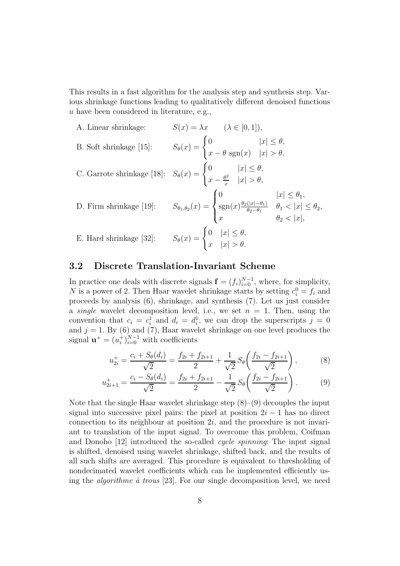This results in a fast algorithm for the analysis step and synthesis step. Various shrinkage functions leading to qualitatively different denoised functions u have been considered in literature, e.g.,

A. Linear shrinkage: 
$$
S(x) = \lambda x
$$
  $(\lambda \in [0, 1]),$   
\nB. Soft shrinkage [15]:  $S_{\theta}(x) = \begin{cases} 0 & |x| \le \theta, \\ x - \theta \operatorname{sgn}(x) & |x| > \theta, \end{cases}$   
\nC. Garrote shrinkage [18]:  $S_{\theta}(x) = \begin{cases} 0 & |x| \le \theta, \\ x - \frac{\theta^2}{x} & |x| > \theta, \end{cases}$   
\nD. Firm shrinkage [19]:  $S_{\theta_1, \theta_2}(x) = \begin{cases} 0 & |x| \le \theta_1, \\ \operatorname{sgn}(x) \frac{\theta_2(|x| - \theta_1)}{\theta_2 - \theta_1} & \theta_1 < |x| \le \theta_2, \\ x & \theta_2 < |x|, \end{cases}$   
\nE. Hard shrinkage [32]:  $S_{\theta}(x) = \begin{cases} 0 & |x| \le \theta, \\ x & |x| > \theta. \end{cases}$ 

#### 3.2 Discrete Translation-Invariant Scheme

In practice one deals with discrete signals  $\mathbf{f} = (f_i)_{i=0}^{N-1}$ , where, for simplicity, N is a power of 2. Then Haar wavelet shrinkage starts by setting  $c_i^0 = f_i$  and proceeds by analysis (6), shrinkage, and synthesis (7). Let us just consider a *single* wavelet decomposition level, i.e., we set  $n = 1$ . Then, using the convention that  $c_i = c_i^1$  and  $d_i = d_i^1$ , we can drop the superscripts  $j = 0$ and  $j = 1$ . By (6) and (7), Haar wavelet shrinkage on one level produces the signal  $\mathbf{u}^+ = (u_i^+)^{N-1}_{i=0}$  with coefficients

$$
u_{2i}^{+} = \frac{c_i + S_{\theta}(d_i)}{\sqrt{2}} = \frac{f_{2i} + f_{2i+1}}{2} + \frac{1}{\sqrt{2}} S_{\theta} \left( \frac{f_{2i} - f_{2i+1}}{\sqrt{2}} \right), \tag{8}
$$

$$
u_{2i+1}^{+} = \frac{c_i - S_{\theta}(d_i)}{\sqrt{2}} = \frac{f_{2i} + f_{2i+1}}{2} - \frac{1}{\sqrt{2}} S_{\theta} \left( \frac{f_{2i} - f_{2i+1}}{\sqrt{2}} \right).
$$
 (9)

Note that the single Haar wavelet shrinkage step  $(8)$ – $(9)$  decouples the input signal into successive pixel pairs: the pixel at position  $2i - 1$  has no direct connection to its neighbour at position 2i, and the procedure is not invariant to translation of the input signal. To overcome this problem, Coifman and Donoho [12] introduced the so-called cycle spinning: The input signal is shifted, denoised using wavelet shrinkage, shifted back, and the results of all such shifts are averaged. This procedure is equivalent to thresholding of nondecimated wavelet coefficients which can be implemented efficiently using the *algorithme*  $\dot{a}$  *trous* [23]. For our single decomposition level, we need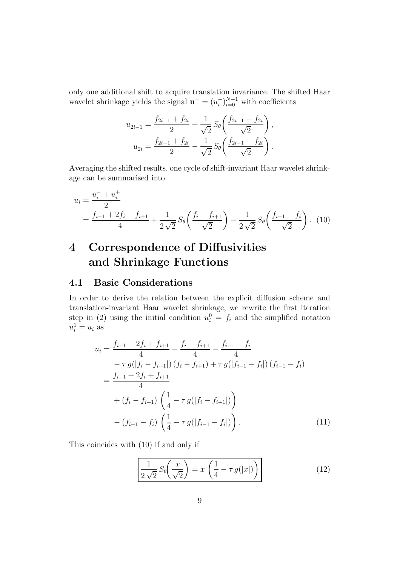only one additional shift to acquire translation invariance. The shifted Haar wavelet shrinkage yields the signal  $\mathbf{u}^- = (u_i^-)_{i=0}^{N-1}$  with coefficients

$$
u_{2i-1}^- = \frac{f_{2i-1} + f_{2i}}{2} + \frac{1}{\sqrt{2}} S_\theta \left( \frac{f_{2i-1} - f_{2i}}{\sqrt{2}} \right),
$$
  

$$
u_{2i}^- = \frac{f_{2i-1} + f_{2i}}{2} - \frac{1}{\sqrt{2}} S_\theta \left( \frac{f_{2i-1} - f_{2i}}{\sqrt{2}} \right).
$$

Averaging the shifted results, one cycle of shift-invariant Haar wavelet shrinkage can be summarised into

$$
u_i = \frac{u_i^- + u_i^+}{2}
$$
  
=  $\frac{f_{i-1} + 2f_i + f_{i+1}}{4} + \frac{1}{2\sqrt{2}} S_\theta \left(\frac{f_i - f_{i+1}}{\sqrt{2}}\right) - \frac{1}{2\sqrt{2}} S_\theta \left(\frac{f_{i-1} - f_i}{\sqrt{2}}\right)$ . (10)

# 4 Correspondence of Diffusivities and Shrinkage Functions

#### 4.1 Basic Considerations

In order to derive the relation between the explicit diffusion scheme and translation-invariant Haar wavelet shrinkage, we rewrite the first iteration step in (2) using the initial condition  $u_i^0 = f_i$  and the simplified notation  $u_i^1 = u_i$  as

$$
u_{i} = \frac{f_{i-1} + 2f_{i} + f_{i+1}}{4} + \frac{f_{i} - f_{i+1}}{4} - \frac{f_{i-1} - f_{i}}{4}
$$
  
\n
$$
- \tau g(|f_{i} - f_{i+1}|) (f_{i} - f_{i+1}) + \tau g(|f_{i-1} - f_{i}|) (f_{i-1} - f_{i})
$$
  
\n
$$
= \frac{f_{i-1} + 2f_{i} + f_{i+1}}{4}
$$
  
\n
$$
+ (f_{i} - f_{i+1}) \left(\frac{1}{4} - \tau g(|f_{i} - f_{i+1}|)\right)
$$
  
\n
$$
- (f_{i-1} - f_{i}) \left(\frac{1}{4} - \tau g(|f_{i-1} - f_{i}|)\right).
$$
 (11)

This coincides with (10) if and only if

$$
\frac{1}{2\sqrt{2}}S_{\theta}\left(\frac{x}{\sqrt{2}}\right) = x\left(\frac{1}{4} - \tau g(|x|)\right)
$$
(12)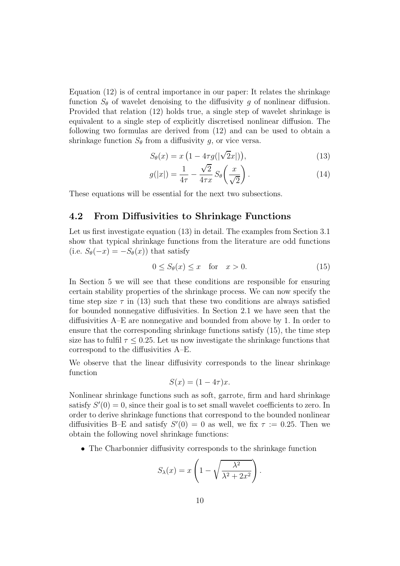Equation (12) is of central importance in our paper: It relates the shrinkage function  $S_{\theta}$  of wavelet denoising to the diffusivity q of nonlinear diffusion. Provided that relation (12) holds true, a single step of wavelet shrinkage is equivalent to a single step of explicitly discretised nonlinear diffusion. The following two formulas are derived from (12) and can be used to obtain a shrinkage function  $S_{\theta}$  from a diffusivity g, or vice versa.

$$
S_{\theta}(x) = x \left(1 - 4\tau g(|\sqrt{2}x|)\right),\tag{13}
$$

$$
g(|x|) = \frac{1}{4\tau} - \frac{\sqrt{2}}{4\tau x} S_{\theta}\left(\frac{x}{\sqrt{2}}\right). \tag{14}
$$

These equations will be essential for the next two subsections.

#### 4.2 From Diffusivities to Shrinkage Functions

Let us first investigate equation (13) in detail. The examples from Section 3.1 show that typical shrinkage functions from the literature are odd functions (i.e.  $S_{\theta}(-x) = -S_{\theta}(x)$ ) that satisfy

$$
0 \le S_{\theta}(x) \le x \quad \text{for} \quad x > 0. \tag{15}
$$

In Section 5 we will see that these conditions are responsible for ensuring certain stability properties of the shrinkage process. We can now specify the time step size  $\tau$  in (13) such that these two conditions are always satisfied for bounded nonnegative diffusivities. In Section 2.1 we have seen that the diffusivities A–E are nonnegative and bounded from above by 1. In order to ensure that the corresponding shrinkage functions satisfy (15), the time step size has to fulfil  $\tau \leq 0.25$ . Let us now investigate the shrinkage functions that correspond to the diffusivities A–E.

We observe that the linear diffusivity corresponds to the linear shrinkage function

$$
S(x) = (1 - 4\tau)x.
$$

Nonlinear shrinkage functions such as soft, garrote, firm and hard shrinkage satisfy  $S'(0) = 0$ , since their goal is to set small wavelet coefficients to zero. In order to derive shrinkage functions that correspond to the bounded nonlinear diffusivities B–E and satisfy  $S'(0) = 0$  as well, we fix  $\tau := 0.25$ . Then we obtain the following novel shrinkage functions:

• The Charbonnier diffusivity corresponds to the shrinkage function

$$
S_{\lambda}(x) = x \left( 1 - \sqrt{\frac{\lambda^2}{\lambda^2 + 2x^2}} \right).
$$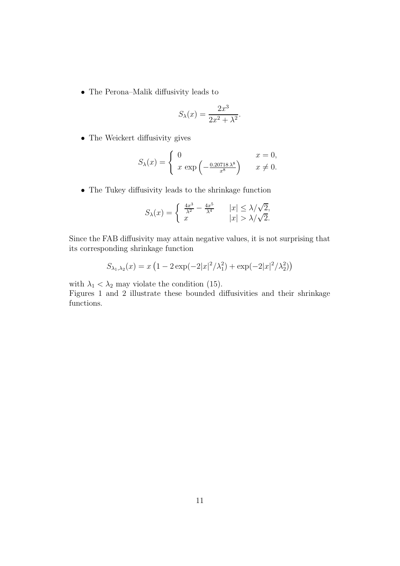• The Perona–Malik diffusivity leads to

$$
S_{\lambda}(x) = \frac{2x^3}{2x^2 + \lambda^2}.
$$

• The Weickert diffusivity gives

$$
S_{\lambda}(x) = \begin{cases} 0 & x = 0, \\ x \exp\left(-\frac{0.20718\,\lambda^8}{x^8}\right) & x \neq 0. \end{cases}
$$

• The Tukey diffusivity leads to the shrinkage function

$$
S_{\lambda}(x) = \begin{cases} \frac{4x^3}{\lambda^2} - \frac{4x^5}{\lambda^4} & |x| \le \lambda/\sqrt{2}, \\ x & |x| > \lambda/\sqrt{2}. \end{cases}
$$

Since the FAB diffusivity may attain negative values, it is not surprising that its corresponding shrinkage function

$$
S_{\lambda_1, \lambda_2}(x) = x \left( 1 - 2 \exp(-2|x|^2/\lambda_1^2) + \exp(-2|x|^2/\lambda_2^2) \right)
$$

with  $\lambda_1 < \lambda_2$  may violate the condition (15).

Figures 1 and 2 illustrate these bounded diffusivities and their shrinkage functions.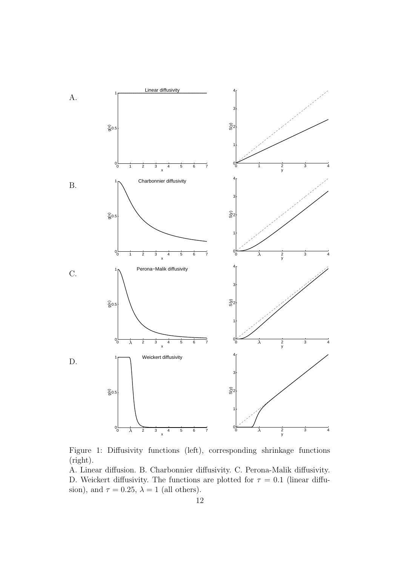

Figure 1: Diffusivity functions (left), corresponding shrinkage functions (right).

A. Linear diffusion. B. Charbonnier diffusivity. C. Perona-Malik diffusivity. D. Weickert diffusivity. The functions are plotted for  $\tau = 0.1$  (linear diffusion), and  $\tau = 0.25$ ,  $\lambda = 1$  (all others).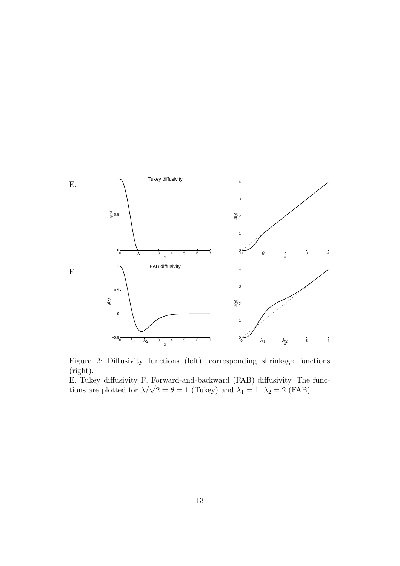![](_page_16_Figure_0.jpeg)

Figure 2: Diffusivity functions (left), corresponding shrinkage functions (right).

E. Tukey diffusivity F. Forward-and-backward (FAB) diffusivity. The functions are plotted for  $\lambda/\sqrt{2} = \theta = 1$  (Tukey) and  $\lambda_1 = 1$ ,  $\lambda_2 = 2$  (FAB).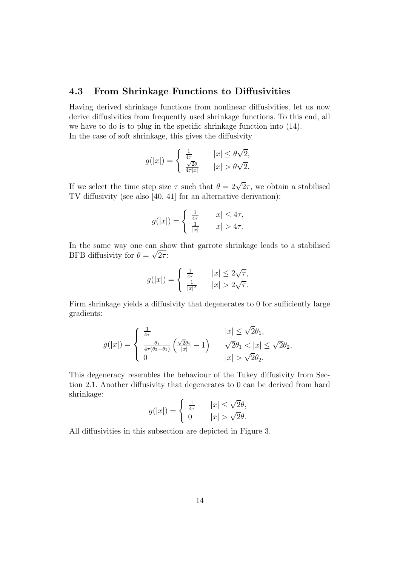#### 4.3 From Shrinkage Functions to Diffusivities

Having derived shrinkage functions from nonlinear diffusivities, let us now derive diffusivities from frequently used shrinkage functions. To this end, all we have to do is to plug in the specific shrinkage function into (14). In the case of soft shrinkage, this gives the diffusivity

$$
g(|x|) = \begin{cases} \frac{1}{4\tau} & |x| \le \theta\sqrt{2}, \\ \frac{\sqrt{2}\theta}{4\tau|x|} & |x| > \theta\sqrt{2}. \end{cases}
$$

If we select the time step size  $\tau$  such that  $\theta = 2\sqrt{2}\tau$ , we obtain a stabilised TV diffusivity (see also [40, 41] for an alternative derivation):

$$
g(|x|) = \begin{cases} \frac{1}{4\tau} & |x| \le 4\tau, \\ \frac{1}{|x|} & |x| > 4\tau. \end{cases}
$$

In the same way one can show that garrote shrinkage leads to a stabilised BFB diffusivity for  $\theta = \sqrt{2\tau}$ :

$$
g(|x|) = \begin{cases} \frac{1}{4\tau} & |x| \le 2\sqrt{\tau}, \\ \frac{1}{|x|^2} & |x| > 2\sqrt{\tau}. \end{cases}
$$

Firm shrinkage yields a diffusivity that degenerates to 0 for sufficiently large gradients:

$$
g(|x|) = \begin{cases} \frac{1}{4\tau} & |x| \leq \sqrt{2}\theta_1, \\ \frac{\theta_1}{4\tau(\theta_2 - \theta_1)} \left( \frac{\sqrt{2}\theta_2}{|x|} - 1 \right) & \sqrt{2}\theta_1 < |x| \leq \sqrt{2}\theta_2, \\ 0 & |x| > \sqrt{2}\theta_2. \end{cases}
$$

This degeneracy resembles the behaviour of the Tukey diffusivity from Section 2.1. Another diffusivity that degenerates to 0 can be derived from hard shrinkage:

$$
g(|x|) = \begin{cases} \frac{1}{4\tau} & |x| \le \sqrt{2}\theta, \\ 0 & |x| > \sqrt{2}\theta. \end{cases}
$$

All diffusivities in this subsection are depicted in Figure 3.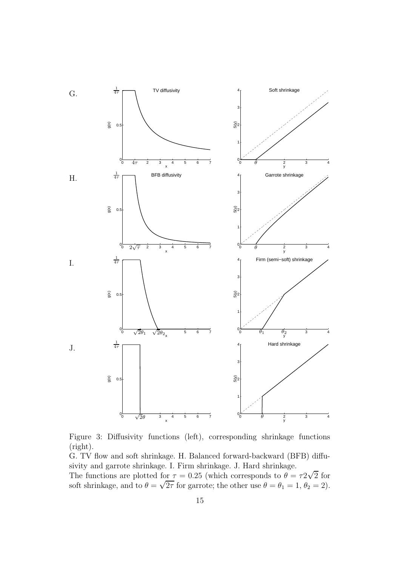![](_page_18_Figure_0.jpeg)

Figure 3: Diffusivity functions (left), corresponding shrinkage functions (right).

G. TV flow and soft shrinkage. H. Balanced forward-backward (BFB) diffusivity and garrote shrinkage. I. Firm shrinkage. J. Hard shrinkage.

The functions are plotted for  $\tau = 0.25$  (which corresponds to  $\theta = \tau^2\sqrt{2}$  for soft shrinkage, and to  $\theta = \sqrt{2\tau}$  for garrote; the other use  $\theta = \theta_1 = 1$ ,  $\theta_2 = 2$ ).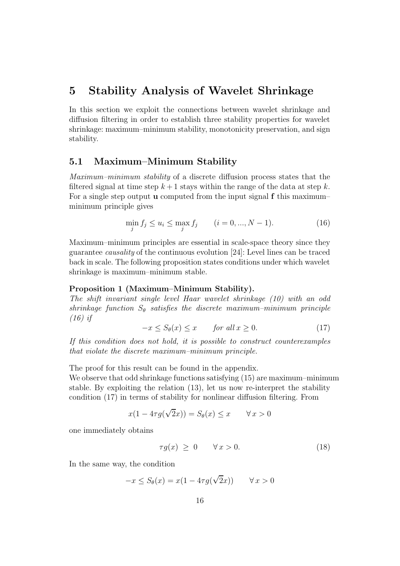### 5 Stability Analysis of Wavelet Shrinkage

In this section we exploit the connections between wavelet shrinkage and diffusion filtering in order to establish three stability properties for wavelet shrinkage: maximum–minimum stability, monotonicity preservation, and sign stability.

#### 5.1 Maximum–Minimum Stability

Maximum–minimum stability of a discrete diffusion process states that the filtered signal at time step  $k + 1$  stays within the range of the data at step k. For a single step output **u** computed from the input signal  $f$  this maximum– minimum principle gives

$$
\min_{j} f_j \le u_i \le \max_{j} f_j \qquad (i = 0, ..., N - 1). \tag{16}
$$

Maximum–minimum principles are essential in scale-space theory since they guarantee causality of the continuous evolution [24]: Level lines can be traced back in scale. The following proposition states conditions under which wavelet shrinkage is maximum–minimum stable.

#### Proposition 1 (Maximum–Minimum Stability).

The shift invariant single level Haar wavelet shrinkage (10) with an odd shrinkage function  $S_{\theta}$  satisfies the discrete maximum-minimum principle (16) if

$$
-x \le S_{\theta}(x) \le x \qquad \text{for all } x \ge 0. \tag{17}
$$

If this condition does not hold, it is possible to construct counterexamples that violate the discrete maximum–minimum principle.

The proof for this result can be found in the appendix.

We observe that odd shrinkage functions satisfying  $(15)$  are maximum–minimum stable. By exploiting the relation (13), let us now re-interpret the stability condition (17) in terms of stability for nonlinear diffusion filtering. From

$$
x(1 - 4\tau g(\sqrt{2}x)) = S_{\theta}(x) \le x \qquad \forall x > 0
$$

one immediately obtains

$$
\tau g(x) \geq 0 \qquad \forall x > 0. \tag{18}
$$

In the same way, the condition

$$
-x \le S_{\theta}(x) = x(1 - 4\tau g(\sqrt{2}x)) \qquad \forall x > 0
$$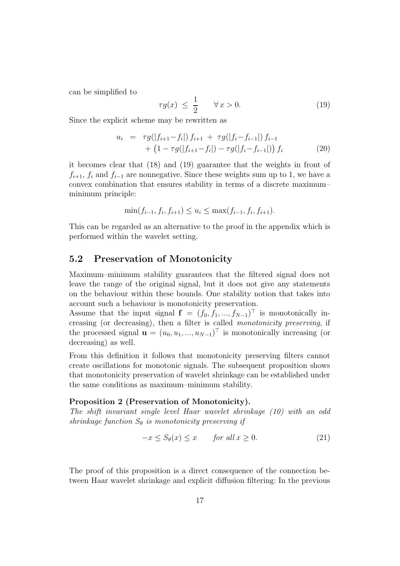can be simplified to

$$
\tau g(x) \le \frac{1}{2} \qquad \forall x > 0. \tag{19}
$$

Since the explicit scheme may be rewritten as

$$
u_i = \tau g(|f_{i+1} - f_i|) f_{i+1} + \tau g(|f_i - f_{i-1}|) f_{i-1} + (1 - \tau g(|f_{i+1} - f_i|) - \tau g(|f_i - f_{i-1}|)) f_i
$$
(20)

it becomes clear that (18) and (19) guarantee that the weights in front of  $f_{i+1}, f_i$  and  $f_{i-1}$  are nonnegative. Since these weights sum up to 1, we have a convex combination that ensures stability in terms of a discrete maximum– minimum principle:

$$
\min(f_{i-1}, f_i, f_{i+1}) \le u_i \le \max(f_{i-1}, f_i, f_{i+1}).
$$

This can be regarded as an alternative to the proof in the appendix which is performed within the wavelet setting.

#### 5.2 Preservation of Monotonicity

Maximum–minimum stability guarantees that the filtered signal does not leave the range of the original signal, but it does not give any statements on the behaviour within these bounds. One stability notion that takes into account such a behaviour is monotonicity preservation.

Assume that the input signal  $f = (f_0, f_1, ..., f_{N-1})^{\dagger}$  is monotonically increasing (or decreasing), then a filter is called monotonicity preserving, if the processed signal  $\mathbf{u} = (u_0, u_1, ..., u_{N-1})^\top$  is monotonically increasing (or decreasing) as well.

From this definition it follows that monotonicity preserving filters cannot create oscillations for monotonic signals. The subsequent proposition shows that monotonicity preservation of wavelet shrinkage can be established under the same conditions as maximum–minimum stability.

#### Proposition 2 (Preservation of Monotonicity).

The shift invariant single level Haar wavelet shrinkage (10) with an odd shrinkage function  $S_{\theta}$  is monotonicity preserving if

$$
-x \le S_{\theta}(x) \le x \qquad \text{for all } x \ge 0. \tag{21}
$$

The proof of this proposition is a direct consequence of the connection between Haar wavelet shrinkage and explicit diffusion filtering: In the previous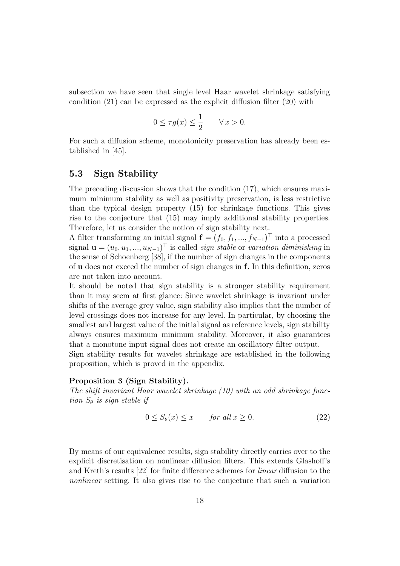subsection we have seen that single level Haar wavelet shrinkage satisfying condition (21) can be expressed as the explicit diffusion filter (20) with

$$
0 \le \tau g(x) \le \frac{1}{2} \qquad \forall \, x > 0.
$$

For such a diffusion scheme, monotonicity preservation has already been established in [45].

#### 5.3 Sign Stability

The preceding discussion shows that the condition (17), which ensures maximum–minimum stability as well as positivity preservation, is less restrictive than the typical design property (15) for shrinkage functions. This gives rise to the conjecture that (15) may imply additional stability properties. Therefore, let us consider the notion of sign stability next.

A filter transforming an initial signal  $\mathbf{f} = (f_0, f_1, ..., f_{N-1})^\top$  into a processed signal  $\mathbf{u} = (u_0, u_1, ..., u_{N-1})^\top$  is called *sign stable* or *variation diminishing* in the sense of Schoenberg [38], if the number of sign changes in the components of u does not exceed the number of sign changes in f. In this definition, zeros are not taken into account.

It should be noted that sign stability is a stronger stability requirement than it may seem at first glance: Since wavelet shrinkage is invariant under shifts of the average grey value, sign stability also implies that the number of level crossings does not increase for any level. In particular, by choosing the smallest and largest value of the initial signal as reference levels, sign stability always ensures maximum–minimum stability. Moreover, it also guarantees that a monotone input signal does not create an oscillatory filter output.

Sign stability results for wavelet shrinkage are established in the following proposition, which is proved in the appendix.

#### Proposition 3 (Sign Stability).

The shift invariant Haar wavelet shrinkage (10) with an odd shrinkage function  $S_{\theta}$  is sign stable if

$$
0 \le S_{\theta}(x) \le x \qquad \text{for all } x \ge 0. \tag{22}
$$

By means of our equivalence results, sign stability directly carries over to the explicit discretisation on nonlinear diffusion filters. This extends Glashoff's and Kreth's results [22] for finite difference schemes for linear diffusion to the nonlinear setting. It also gives rise to the conjecture that such a variation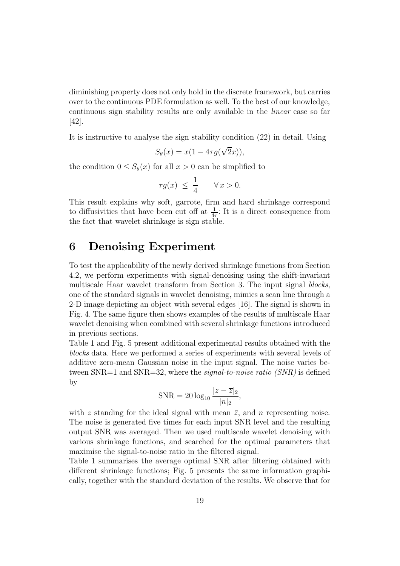diminishing property does not only hold in the discrete framework, but carries over to the continuous PDE formulation as well. To the best of our knowledge, continuous sign stability results are only available in the linear case so far [42].

It is instructive to analyse the sign stability condition (22) in detail. Using

$$
S_{\theta}(x) = x(1 - 4\tau g(\sqrt{2}x)),
$$

the condition  $0 \leq S_\theta(x)$  for all  $x > 0$  can be simplified to

$$
\tau g(x) \ \leq \ \frac{1}{4} \qquad \forall \, x > 0.
$$

This result explains why soft, garrote, firm and hard shrinkage correspond to diffusivities that have been cut off at  $\frac{1}{4\tau}$ : It is a direct consequence from the fact that wavelet shrinkage is sign stable.

### 6 Denoising Experiment

To test the applicability of the newly derived shrinkage functions from Section 4.2, we perform experiments with signal-denoising using the shift-invariant multiscale Haar wavelet transform from Section 3. The input signal *blocks*, one of the standard signals in wavelet denoising, mimics a scan line through a 2-D image depicting an object with several edges [16]. The signal is shown in Fig. 4. The same figure then shows examples of the results of multiscale Haar wavelet denoising when combined with several shrinkage functions introduced in previous sections.

Table 1 and Fig. 5 present additional experimental results obtained with the blocks data. Here we performed a series of experiments with several levels of additive zero-mean Gaussian noise in the input signal. The noise varies between  $SNR=1$  and  $SNR=32$ , where the *signal-to-noise ratio*  $(SNR)$  is defined by

$$
SNR = 20 \log_{10} \frac{|z - \overline{z}|_2}{|n|_2},
$$

with z standing for the ideal signal with mean  $\bar{z}$ , and n representing noise. The noise is generated five times for each input SNR level and the resulting output SNR was averaged. Then we used multiscale wavelet denoising with various shrinkage functions, and searched for the optimal parameters that maximise the signal-to-noise ratio in the filtered signal.

Table 1 summarises the average optimal SNR after filtering obtained with different shrinkage functions; Fig. 5 presents the same information graphically, together with the standard deviation of the results. We observe that for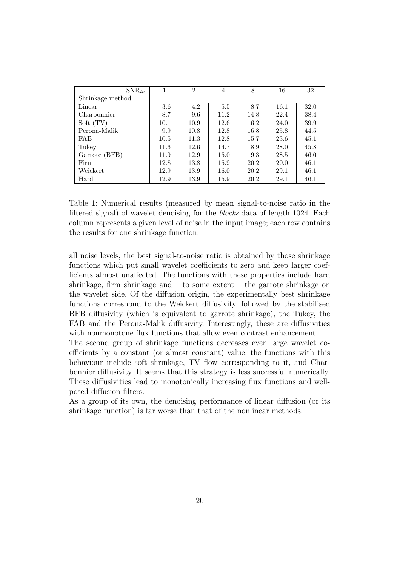| $SNR_{in}$       |      | $\mathfrak{D}$ | 4    | 8    | 16   | 32   |
|------------------|------|----------------|------|------|------|------|
| Shrinkage method |      |                |      |      |      |      |
| Linear           | 3.6  | 4.2            | 5.5  | 8.7  | 16.1 | 32.0 |
| Charbonnier      | 8.7  | 9.6            | 11.2 | 14.8 | 22.4 | 38.4 |
| Soft $(TV)$      | 10.1 | 10.9           | 12.6 | 16.2 | 24.0 | 39.9 |
| Perona-Malik     | 9.9  | 10.8           | 12.8 | 16.8 | 25.8 | 44.5 |
| <b>FAB</b>       | 10.5 | 11.3           | 12.8 | 15.7 | 23.6 | 45.1 |
| Tukey            | 11.6 | 12.6           | 14.7 | 18.9 | 28.0 | 45.8 |
| Garrote (BFB)    | 11.9 | 12.9           | 15.0 | 19.3 | 28.5 | 46.0 |
| Firm             | 12.8 | 13.8           | 15.9 | 20.2 | 29.0 | 46.1 |
| Weickert         | 12.9 | 13.9           | 16.0 | 20.2 | 29.1 | 46.1 |
| Hard             | 12.9 | 13.9           | 15.9 | 20.2 | 29.1 | 46.1 |

Table 1: Numerical results (measured by mean signal-to-noise ratio in the filtered signal) of wavelet denoising for the blocks data of length 1024. Each column represents a given level of noise in the input image; each row contains the results for one shrinkage function.

all noise levels, the best signal-to-noise ratio is obtained by those shrinkage functions which put small wavelet coefficients to zero and keep larger coefficients almost unaffected. The functions with these properties include hard shrinkage, firm shrinkage and  $-$  to some extent  $-$  the garrote shrinkage on the wavelet side. Of the diffusion origin, the experimentally best shrinkage functions correspond to the Weickert diffusivity, followed by the stabilised BFB diffusivity (which is equivalent to garrote shrinkage), the Tukey, the FAB and the Perona-Malik diffusivity. Interestingly, these are diffusivities with nonmonotone flux functions that allow even contrast enhancement.

The second group of shrinkage functions decreases even large wavelet coefficients by a constant (or almost constant) value; the functions with this behaviour include soft shrinkage, TV flow corresponding to it, and Charbonnier diffusivity. It seems that this strategy is less successful numerically. These diffusivities lead to monotonically increasing flux functions and wellposed diffusion filters.

As a group of its own, the denoising performance of linear diffusion (or its shrinkage function) is far worse than that of the nonlinear methods.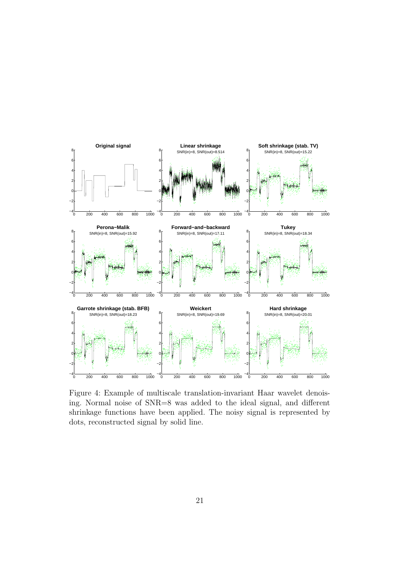![](_page_24_Figure_0.jpeg)

Figure 4: Example of multiscale translation-invariant Haar wavelet denoising. Normal noise of SNR=8 was added to the ideal signal, and different shrinkage functions have been applied. The noisy signal is represented by dots, reconstructed signal by solid line.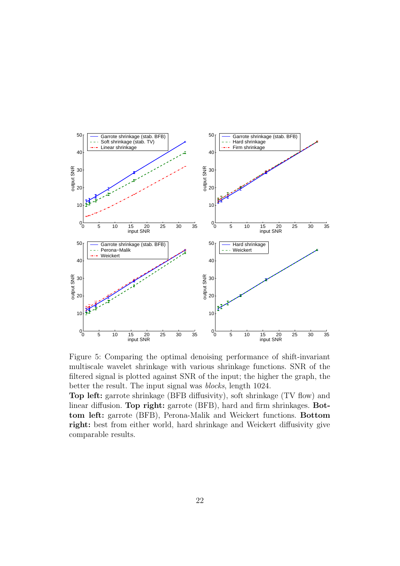![](_page_25_Figure_0.jpeg)

Figure 5: Comparing the optimal denoising performance of shift-invariant multiscale wavelet shrinkage with various shrinkage functions. SNR of the filtered signal is plotted against SNR of the input; the higher the graph, the better the result. The input signal was blocks, length 1024.

Top left: garrote shrinkage (BFB diffusivity), soft shrinkage (TV flow) and linear diffusion. Top right: garrote (BFB), hard and firm shrinkages. Bottom left: garrote (BFB), Perona-Malik and Weickert functions. Bottom right: best from either world, hard shrinkage and Weickert diffusivity give comparable results.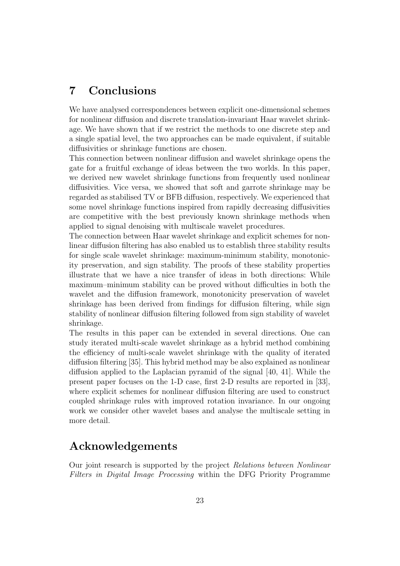# 7 Conclusions

We have analysed correspondences between explicit one-dimensional schemes for nonlinear diffusion and discrete translation-invariant Haar wavelet shrinkage. We have shown that if we restrict the methods to one discrete step and a single spatial level, the two approaches can be made equivalent, if suitable diffusivities or shrinkage functions are chosen.

This connection between nonlinear diffusion and wavelet shrinkage opens the gate for a fruitful exchange of ideas between the two worlds. In this paper, we derived new wavelet shrinkage functions from frequently used nonlinear diffusivities. Vice versa, we showed that soft and garrote shrinkage may be regarded as stabilised TV or BFB diffusion, respectively. We experienced that some novel shrinkage functions inspired from rapidly decreasing diffusivities are competitive with the best previously known shrinkage methods when applied to signal denoising with multiscale wavelet procedures.

The connection between Haar wavelet shrinkage and explicit schemes for nonlinear diffusion filtering has also enabled us to establish three stability results for single scale wavelet shrinkage: maximum-minimum stability, monotonicity preservation, and sign stability. The proofs of these stability properties illustrate that we have a nice transfer of ideas in both directions: While maximum–minimum stability can be proved without difficulties in both the wavelet and the diffusion framework, monotonicity preservation of wavelet shrinkage has been derived from findings for diffusion filtering, while sign stability of nonlinear diffusion filtering followed from sign stability of wavelet shrinkage.

The results in this paper can be extended in several directions. One can study iterated multi-scale wavelet shrinkage as a hybrid method combining the efficiency of multi-scale wavelet shrinkage with the quality of iterated diffusion filtering [35]. This hybrid method may be also explained as nonlinear diffusion applied to the Laplacian pyramid of the signal [40, 41]. While the present paper focuses on the 1-D case, first 2-D results are reported in [33], where explicit schemes for nonlinear diffusion filtering are used to construct coupled shrinkage rules with improved rotation invariance. In our ongoing work we consider other wavelet bases and analyse the multiscale setting in more detail.

# Acknowledgements

Our joint research is supported by the project Relations between Nonlinear Filters in Digital Image Processing within the DFG Priority Programme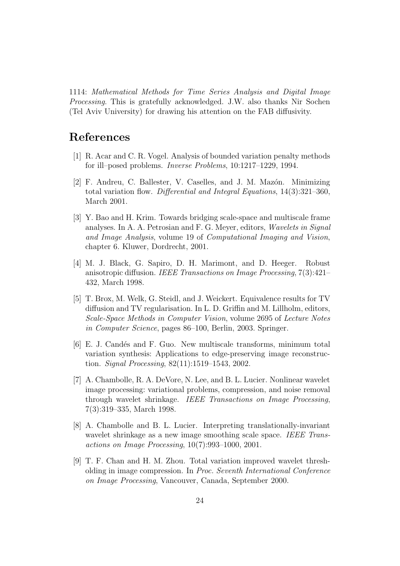1114: Mathematical Methods for Time Series Analysis and Digital Image Processing. This is gratefully acknowledged. J.W. also thanks Nir Sochen (Tel Aviv University) for drawing his attention on the FAB diffusivity.

### References

- [1] R. Acar and C. R. Vogel. Analysis of bounded variation penalty methods for ill–posed problems. Inverse Problems, 10:1217–1229, 1994.
- [2] F. Andreu, C. Ballester, V. Caselles, and J. M. Mazón. Minimizing total variation flow. Differential and Integral Equations, 14(3):321–360, March 2001.
- [3] Y. Bao and H. Krim. Towards bridging scale-space and multiscale frame analyses. In A. A. Petrosian and F. G. Meyer, editors, Wavelets in Signal and Image Analysis, volume 19 of Computational Imaging and Vision, chapter 6. Kluwer, Dordrecht, 2001.
- [4] M. J. Black, G. Sapiro, D. H. Marimont, and D. Heeger. Robust anisotropic diffusion. IEEE Transactions on Image Processing, 7(3):421– 432, March 1998.
- [5] T. Brox, M. Welk, G. Steidl, and J. Weickert. Equivalence results for TV diffusion and TV regularisation. In L. D. Griffin and M. Lillholm, editors, Scale-Space Methods in Computer Vision, volume 2695 of Lecture Notes in Computer Science, pages 86–100, Berlin, 2003. Springer.
- [6] E. J. Candés and F. Guo. New multiscale transforms, minimum total variation synthesis: Applications to edge-preserving image reconstruction. Signal Processing, 82(11):1519–1543, 2002.
- [7] A. Chambolle, R. A. DeVore, N. Lee, and B. L. Lucier. Nonlinear wavelet image processing: variational problems, compression, and noise removal through wavelet shrinkage. IEEE Transactions on Image Processing, 7(3):319–335, March 1998.
- [8] A. Chambolle and B. L. Lucier. Interpreting translationally-invariant wavelet shrinkage as a new image smoothing scale space. IEEE Transactions on Image Processing, 10(7):993–1000, 2001.
- [9] T. F. Chan and H. M. Zhou. Total variation improved wavelet thresholding in image compression. In Proc. Seventh International Conference on Image Processing, Vancouver, Canada, September 2000.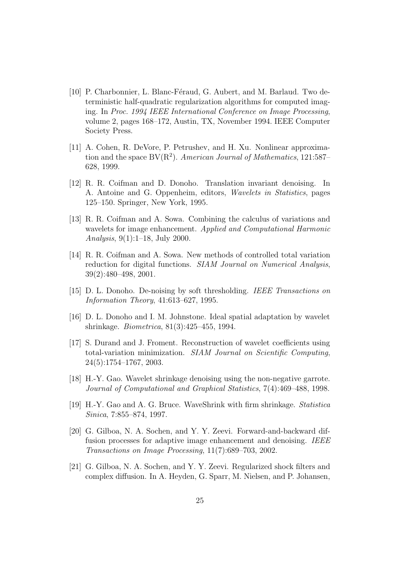- [10] P. Charbonnier, L. Blanc-Féraud, G. Aubert, and M. Barlaud. Two deterministic half-quadratic regularization algorithms for computed imaging. In Proc. 1994 IEEE International Conference on Image Processing, volume 2, pages 168–172, Austin, TX, November 1994. IEEE Computer Society Press.
- [11] A. Cohen, R. DeVore, P. Petrushev, and H. Xu. Nonlinear approximation and the space  $BV(R^2)$ . American Journal of Mathematics, 121:587– 628, 1999.
- [12] R. R. Coifman and D. Donoho. Translation invariant denoising. In A. Antoine and G. Oppenheim, editors, Wavelets in Statistics, pages 125–150. Springer, New York, 1995.
- [13] R. R. Coifman and A. Sowa. Combining the calculus of variations and wavelets for image enhancement. Applied and Computational Harmonic Analysis, 9(1):1–18, July 2000.
- [14] R. R. Coifman and A. Sowa. New methods of controlled total variation reduction for digital functions. *SIAM Journal on Numerical Analysis*, 39(2):480–498, 2001.
- [15] D. L. Donoho. De-noising by soft thresholding. IEEE Transactions on Information Theory, 41:613–627, 1995.
- [16] D. L. Donoho and I. M. Johnstone. Ideal spatial adaptation by wavelet shrinkage. Biometrica, 81(3):425–455, 1994.
- [17] S. Durand and J. Froment. Reconstruction of wavelet coefficients using total-variation minimization. SIAM Journal on Scientific Computing, 24(5):1754–1767, 2003.
- [18] H.-Y. Gao. Wavelet shrinkage denoising using the non-negative garrote. Journal of Computational and Graphical Statistics, 7(4):469–488, 1998.
- [19] H.-Y. Gao and A. G. Bruce. WaveShrink with firm shrinkage. Statistica Sinica, 7:855–874, 1997.
- [20] G. Gilboa, N. A. Sochen, and Y. Y. Zeevi. Forward-and-backward diffusion processes for adaptive image enhancement and denoising. IEEE Transactions on Image Processing, 11(7):689–703, 2002.
- [21] G. Gilboa, N. A. Sochen, and Y. Y. Zeevi. Regularized shock filters and complex diffusion. In A. Heyden, G. Sparr, M. Nielsen, and P. Johansen,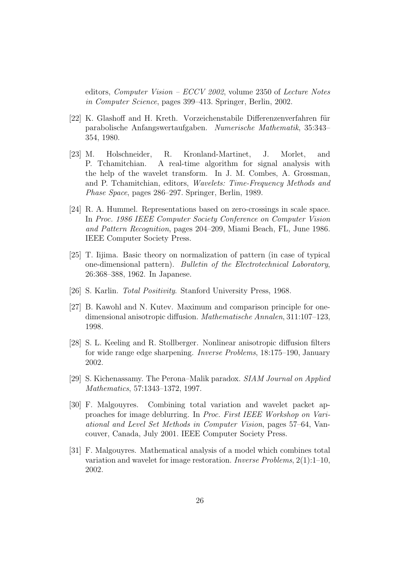editors, Computer Vision – ECCV 2002, volume 2350 of Lecture Notes in Computer Science, pages 399–413. Springer, Berlin, 2002.

- [22] K. Glashoff and H. Kreth. Vorzeichenstabile Differenzenverfahren für parabolische Anfangswertaufgaben. Numerische Mathematik, 35:343– 354, 1980.
- [23] M. Holschneider, R. Kronland-Martinet, J. Morlet, and P. Tchamitchian. A real-time algorithm for signal analysis with the help of the wavelet transform. In J. M. Combes, A. Grossman, and P. Tchamitchian, editors, Wavelets: Time-Frequency Methods and Phase Space, pages 286–297. Springer, Berlin, 1989.
- [24] R. A. Hummel. Representations based on zero-crossings in scale space. In Proc. 1986 IEEE Computer Society Conference on Computer Vision and Pattern Recognition, pages 204–209, Miami Beach, FL, June 1986. IEEE Computer Society Press.
- [25] T. Iijima. Basic theory on normalization of pattern (in case of typical one-dimensional pattern). Bulletin of the Electrotechnical Laboratory, 26:368–388, 1962. In Japanese.
- [26] S. Karlin. Total Positivity. Stanford University Press, 1968.
- [27] B. Kawohl and N. Kutev. Maximum and comparison principle for onedimensional anisotropic diffusion. Mathematische Annalen, 311:107–123, 1998.
- [28] S. L. Keeling and R. Stollberger. Nonlinear anisotropic diffusion filters for wide range edge sharpening. Inverse Problems, 18:175–190, January 2002.
- [29] S. Kichenassamy. The Perona–Malik paradox. SIAM Journal on Applied Mathematics, 57:1343–1372, 1997.
- [30] F. Malgouyres. Combining total variation and wavelet packet approaches for image deblurring. In Proc. First IEEE Workshop on Variational and Level Set Methods in Computer Vision, pages 57–64, Vancouver, Canada, July 2001. IEEE Computer Society Press.
- [31] F. Malgouyres. Mathematical analysis of a model which combines total variation and wavelet for image restoration. Inverse Problems, 2(1):1–10, 2002.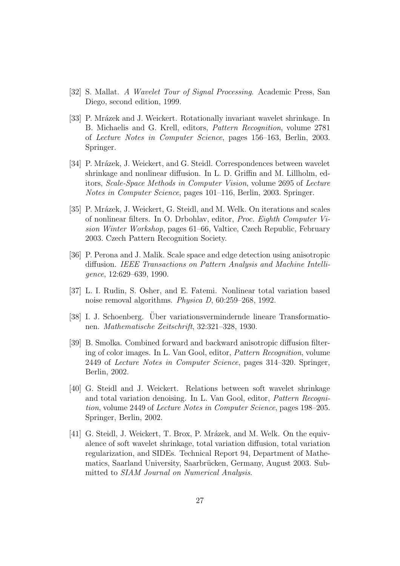- [32] S. Mallat. A Wavelet Tour of Signal Processing. Academic Press, San Diego, second edition, 1999.
- [33] P. Mrázek and J. Weickert. Rotationally invariant wavelet shrinkage. In B. Michaelis and G. Krell, editors, Pattern Recognition, volume 2781 of Lecture Notes in Computer Science, pages 156–163, Berlin, 2003. Springer.
- [34] P. Mrázek, J. Weickert, and G. Steidl. Correspondences between wavelet shrinkage and nonlinear diffusion. In L. D. Griffin and M. Lillholm, editors, Scale-Space Methods in Computer Vision, volume 2695 of Lecture Notes in Computer Science, pages 101–116, Berlin, 2003. Springer.
- [35] P. Mrázek, J. Weickert, G. Steidl, and M. Welk. On iterations and scales of nonlinear filters. In O. Drbohlav, editor, Proc. Eighth Computer Vision Winter Workshop, pages 61–66, Valtice, Czech Republic, February 2003. Czech Pattern Recognition Society.
- [36] P. Perona and J. Malik. Scale space and edge detection using anisotropic diffusion. IEEE Transactions on Pattern Analysis and Machine Intelligence, 12:629–639, 1990.
- [37] L. I. Rudin, S. Osher, and E. Fatemi. Nonlinear total variation based noise removal algorithms. Physica D, 60:259–268, 1992.
- [38] I. J. Schoenberg. Uber variationsvermindernde lineare Transformationen. Mathematische Zeitschrift, 32:321–328, 1930.
- [39] B. Smolka. Combined forward and backward anisotropic diffusion filtering of color images. In L. Van Gool, editor, Pattern Recognition, volume 2449 of Lecture Notes in Computer Science, pages 314–320. Springer, Berlin, 2002.
- [40] G. Steidl and J. Weickert. Relations between soft wavelet shrinkage and total variation denoising. In L. Van Gool, editor, Pattern Recognition, volume 2449 of Lecture Notes in Computer Science, pages 198–205. Springer, Berlin, 2002.
- [41] G. Steidl, J. Weickert, T. Brox, P. Mrázek, and M. Welk. On the equivalence of soft wavelet shrinkage, total variation diffusion, total variation regularization, and SIDEs. Technical Report 94, Department of Mathematics, Saarland University, Saarbrücken, Germany, August 2003. Submitted to SIAM Journal on Numerical Analysis.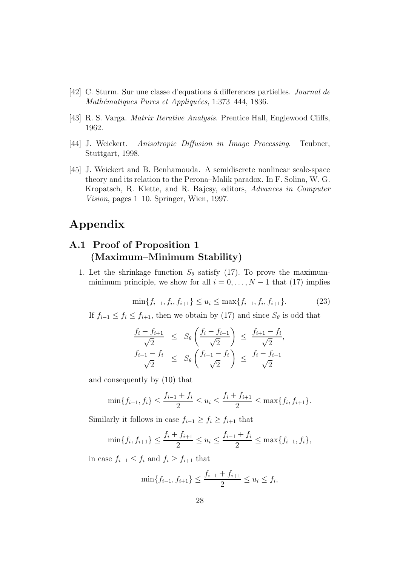- [42] C. Sturm. Sur une classe d'equations a´ differences partielles. Journal de Mathématiques Pures et Appliquées, 1:373-444, 1836.
- [43] R. S. Varga. Matrix Iterative Analysis. Prentice Hall, Englewood Cliffs, 1962.
- [44] J. Weickert. Anisotropic Diffusion in Image Processing. Teubner, Stuttgart, 1998.
- [45] J. Weickert and B. Benhamouda. A semidiscrete nonlinear scale-space theory and its relation to the Perona–Malik paradox. In F. Solina, W. G. Kropatsch, R. Klette, and R. Bajcsy, editors, Advances in Computer Vision, pages 1–10. Springer, Wien, 1997.

# Appendix

### A.1 Proof of Proposition 1 (Maximum–Minimum Stability)

1. Let the shrinkage function  $S_{\theta}$  satisfy (17). To prove the maximumminimum principle, we show for all  $i = 0, \ldots, N - 1$  that (17) implies

$$
\min\{f_{i-1}, f_i, f_{i+1}\} \le u_i \le \max\{f_{i-1}, f_i, f_{i+1}\}.
$$
\n(23)

If  $f_{i-1} \leq f_i \leq f_{i+1}$ , then we obtain by (17) and since  $S_\theta$  is odd that

$$
\frac{f_i - f_{i+1}}{\sqrt{2}} \leq S_{\theta} \left( \frac{f_i - f_{i+1}}{\sqrt{2}} \right) \leq \frac{f_{i+1} - f_i}{\sqrt{2}},
$$
  

$$
\frac{f_{i-1} - f_i}{\sqrt{2}} \leq S_{\theta} \left( \frac{f_{i-1} - f_i}{\sqrt{2}} \right) \leq \frac{f_i - f_{i-1}}{\sqrt{2}}
$$

and consequently by (10) that

$$
\min\{f_{i-1}, f_i\} \le \frac{f_{i-1} + f_i}{2} \le u_i \le \frac{f_i + f_{i+1}}{2} \le \max\{f_i, f_{i+1}\}.
$$

Similarly it follows in case  $f_{i-1} \geq f_i \geq f_{i+1}$  that

$$
\min\{f_i, f_{i+1}\} \le \frac{f_i + f_{i+1}}{2} \le u_i \le \frac{f_{i-1} + f_i}{2} \le \max\{f_{i-1}, f_i\},\
$$

in case  $f_{i-1} \leq f_i$  and  $f_i \geq f_{i+1}$  that

$$
\min\{f_{i-1}, f_{i+1}\} \le \frac{f_{i-1} + f_{i+1}}{2} \le u_i \le f_i,
$$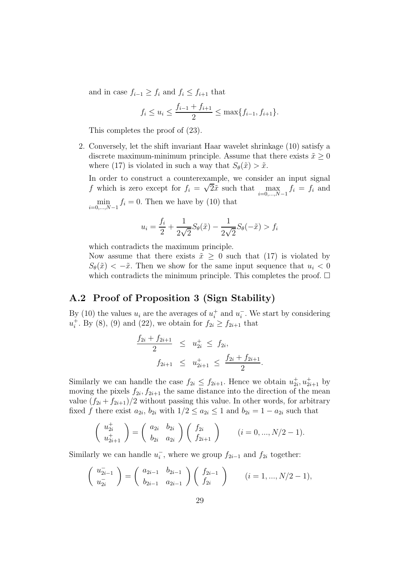and in case  $f_{i-1} \geq f_i$  and  $f_i \leq f_{i+1}$  that

$$
f_i \le u_i \le \frac{f_{i-1} + f_{i+1}}{2} \le \max\{f_{i-1}, f_{i+1}\}.
$$

This completes the proof of (23).

2. Conversely, let the shift invariant Haar wavelet shrinkage (10) satisfy a discrete maximum-minimum principle. Assume that there exists  $\tilde{x} \geq 0$ where (17) is violated in such a way that  $S_{\theta}(\tilde{x}) > \tilde{x}$ .

In order to construct a counterexample, we consider an input signal f which is zero except for  $f_i = \sqrt{2}\tilde{x}$  such that max  $i=0,\ldots,N-1$  $f_i = f_i$  and min  $i=0,\ldots,N-1$  $f_i = 0$ . Then we have by (10) that

$$
u_i = \frac{f_i}{2} + \frac{1}{2\sqrt{2}}S_{\theta}(\tilde{x}) - \frac{1}{2\sqrt{2}}S_{\theta}(-\tilde{x}) > f_i
$$

which contradicts the maximum principle.

Now assume that there exists  $\tilde{x} \geq 0$  such that (17) is violated by  $S_{\theta}(\tilde{x}) < -\tilde{x}$ . Then we show for the same input sequence that  $u_i < 0$ which contradicts the minimum principle. This completes the proof.  $\Box$ 

#### A.2 Proof of Proposition 3 (Sign Stability)

By (10) the values  $u_i$  are the averages of  $u_i^+$  $i<sub>i</sub>$  and  $u<sub>i</sub>$ . We start by considering  $u_i^+$  $i<sup>+</sup>$ . By (8), (9) and (22), we obtain for  $f_{2i} \ge f_{2i+1}$  that

$$
\frac{f_{2i} + f_{2i+1}}{2} \le u_{2i}^+ \le f_{2i},
$$
  

$$
f_{2i+1} \le u_{2i+1}^+ \le \frac{f_{2i} + f_{2i+1}}{2}.
$$

Similarly we can handle the case  $f_{2i} \leq f_{2i+1}$ . Hence we obtain  $u_{2i}^+, u_{2i+1}^+$  by moving the pixels  $f_{2i}, f_{2i+1}$  the same distance into the direction of the mean value  $(f_{2i} + f_{2i+1})/2$  without passing this value. In other words, for arbitrary fixed f there exist  $a_{2i}$ ,  $b_{2i}$  with  $1/2 \le a_{2i} \le 1$  and  $b_{2i} = 1 - a_{2i}$  such that

$$
\begin{pmatrix} u_{2i}^+ \\ u_{2i+1}^+ \end{pmatrix} = \begin{pmatrix} a_{2i} & b_{2i} \\ b_{2i} & a_{2i} \end{pmatrix} \begin{pmatrix} f_{2i} \\ f_{2i+1} \end{pmatrix} \qquad (i = 0, ..., N/2 - 1).
$$

Similarly we can handle  $u_i^-$ , where we group  $f_{2i-1}$  and  $f_{2i}$  together:

$$
\begin{pmatrix} u_{2i-1}^{-} \\ u_{2i}^{-} \end{pmatrix} = \begin{pmatrix} a_{2i-1} & b_{2i-1} \\ b_{2i-1} & a_{2i-1} \end{pmatrix} \begin{pmatrix} f_{2i-1} \\ f_{2i} \end{pmatrix} \qquad (i = 1, ..., N/2 - 1),
$$